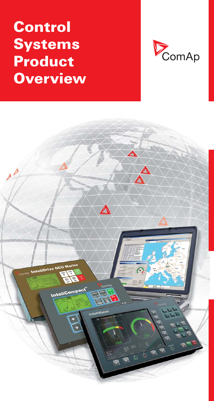# Control Systems Product **Overview**



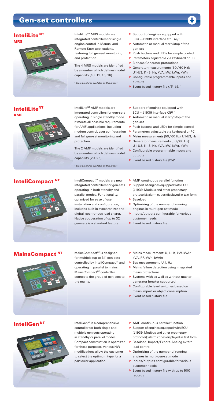## Gen-set controllers



# InteliLite NT MRS

InteliLite<sup>NT</sup> AMF

#### InteliCompact<sup>NT</sup>



InteliLite<sup>NT</sup> MRS models are integrated controllers for single engine control in Manual and Remote Start applications, featuring full gen-set monitoring and protection.

The 4 MRS models are identified by a number which defines model capability (10, 11, 15, 16).

\* *Stated features available on this model*

- $\triangleright$  Support of engines equipped with ECU – J1939 interface *(15, 16)\**
- Automatic or manual start/stop of the gen-set
- **P** Push buttons and LEDs for simple control
- **P** Parameters adjustable via keyboard or PC
- ▶ 3 phase Generator protections
- $\triangleright$  Generator measurements (50/60 Hz): U1-U3, I1-I3, Hz, kVA, kW, kVAr, kWh
- **D** Configurable programmable inputs and outputs
- Event based history file *(15, 16)\**

InteliLite<sup>NT</sup> AMF models are integrated controllers for gen-sets operating in single standby mode. It meets all possible requirements for AMF applications, including modem control, user configuration > Parameters adjustable via keyboard or PC and full gen-set monitoring and protection.

The 2 AMF models are identified by a number which defines model capability (20, 25).

\* *Stated features available on this model*

InteliCompact<sup>NT</sup> models are new integrated controllers for gen-sets operating in both standby and parallel modes. Functionality, optimized for ease of use, installation and configuration, includes built-in synchronizer and digital isochronous load sharer. Native cooperation of up to 32 gen-sets is a standard feature.

- $\triangleright$  Support of engines equipped with ECU – J1939 interface *(25)* \*
- **D** Automatic or manual start / stop of the gen-set
- $\triangleright$  Push buttons and LEDs for simple control
- 
- Mains measurements (50/60 Hz): U1-U3, Hz Generator measurements (50 / 60 Hz):
- U1-U3, I1-I3, Hz, kVA, kW, kVAr, kWh **D** Configurable programmable inputs and outputs
- Event based history file *(25)\**
- **D** AMF, continuous parallel function
- $\triangleright$  Support of engines equipped with ECU (J1939, Modbus and other proprietary protocols); alarm codes displayed in text form Baseload
- $\triangleright$  Optimizing of the number of running engines in multi-gen-set mode
- $\triangleright$  Inputs/outputs configurable for various customer needs
- $\triangleright$  Event based history file

#### **MainsCompact**



 $MainsCompact<sup>NT</sup>$  is designed for multiple (up to 31) gen-sets controlled by InteliCompact<sup>NT</sup> and operating in parallel to mains. MainsCompact<sup>NT</sup> controller connects the group of gen-sets to the mains.

- Mains measurement: U, I, Hz, kW, kVAr, kVA, PF, kWh, kVAhr
- **Bus measurement: U, I, Hz**
- Mains failure detection using integrated mains protections
- $\triangleright$  Systems with as well as without master generator breaker supported
- ▶ Configurable level switches based on mains import or object consumption
- $\triangleright$  Event based history file

#### **InteliGen<sup>NT</sup>**



 $InteliGen<sup>NT</sup>$  is a comprehensive controller for both single and multiple gen-sets operating in standby or parallel modes. Compact construction is optimized for these purposes; various HW modifications allow the customer to select the optimum type for a particular application.

- AMF, continuous parallel function
- $\triangleright$  Support of engines equipped with ECU (J1939, Modbus and other proprietary protocols); alarm codes displayed in text form
- Baseload, Import/Export, Analog extern load control
- $\triangleright$  Optimizing of the number of running engines in multi-gen-set mode
- $\triangleright$  Inputs/outputs configurable for various customer needs
- **Event based history file with up to 500** records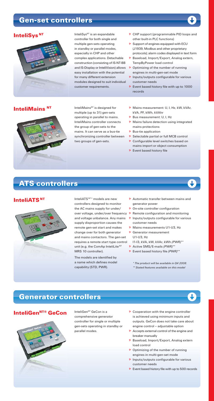# Gen-set controllers

#### **InteliSys**<sup>NT</sup>



InteliSys<sup>NT</sup> is an expandable controller for both single and multiple gen-sets operating in standby or parallel modes, especially in CHP and other complex applications. Detachable construction (consisting of IS-NT-BB and IS-Display or InteliVision) allows easy installation with the potential for many different extension modules designed to suit individual customer requirements.

- ▶ CHP support (programmable PID loops and other built-in PLC functions)
- $\triangleright$  Support of engines equipped with ECU (J1939, Modbus and other proprietary protocols); alarm codes displayed in text form
- **Baseload, Import/Export, Analog extern,** TempByPower load control
- $\triangleright$  Optimizing of the number of running engines in multi-gen-set mode
- $\triangleright$  Inputs/outputs configurable for various customer needs
- $\triangleright$  Event based history file with up to 1000 records

#### **InteliMains<sup>NT</sup>**



InteliMains<sup>NT</sup> is designed for multiple (up to 31) gen-sets operating in parallel to mains. InteliMains controller connects the group of gen-sets to the mains. It can serve as a bus-tie synchronizing controller between two groups of gen-sets.

- Mains measurement: U, I, Hz, kW, kVAr, kVA, PF, kWh, kVAhr
- Bus measurement: U, I, Hz
- **Mains failure detection using integrated** mains protections
- $\triangleright$  Bus-tie application
- **B** Selectable partial or full MCB control **D** Configurable level switches based on mains import or object consumption
- $\triangleright$  Event based history file

# ATS controllers

#### InteliATS<sup>NT</sup>



InteliATS NT \* models are new controllers designed to monitor the AC mains supply for under/ over voltage, under/over frequency ▶ Remote configuration and monitoring supply disproportion causes the remote gen-set start and makes change over for both generator and mains contactors. The gen-set requires a remote start type control unit (e.g. the ComAp InteliLite<sup>NT</sup> MRS 10 controller).

The models are identified by a name which defines model capability (STD, PWR).

- Automatic transfer between mains and generator power
- **D** On-site controller configuration
- and voltage unbalance. Any mains <br>
Dinputs/outputs configurable for various customer needs
	- Mains measurements U1-U3, Hz
	- Generator measurement U1-U3, Hz
		- I1-I3, kVA, kW, kVAr, kWh *(PWR)*\*\*
	- Active SMS/E-mails *(PWR)*\*\*
	- Event based history file *(PWR)*\*\*

*\* The product will be available in Q4 2008. \*\* Stated features available on this model*

# Generator controllers

#### **InteliGen<sup>NT®</sup> GeCon**



InteliGen<sup>NT</sup> GeCon is a comprehensive generator controller for single or multiple gen-sets operating in standby or parallel modes.

- $\triangleright$  Cooperation with the engine controller is achieved using minimum inputs and outputs. GeCon does not take care about engine control – adjustable option
- $\triangleright$  Accepts external control of the engine and breaker manually
- Baseload, Import/Export, Analog extern load control
- $\triangleright$  Optimizing of the number of running engines in multi-gen-set mode
- $\triangleright$  Inputs/outputs configurable for various customer needs
- $\triangleright$  Event based history file with up to 500 records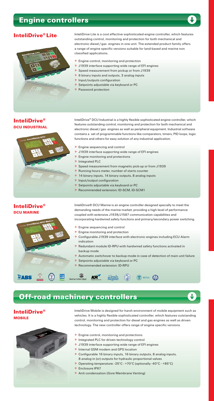# Engine controllers



## InteliDrive® Lite



InteliDrive Lite is a cost effective sophisticated engine controller, which features outstanding control, monitoring and protection for both mechanical and electronic diesel / gas engines in one unit. The extended product family offers a range of engine specific versions suitable for land-based and marine non classified applications.

- $\triangleright$  Engine control, monitoring and protection
- ▶ J1939 interface supporting wide range of EFI engines
- **B** Speed measurement from pickup or from J1939
- $\triangleright$  6 binary inputs and outputs, 3 analog inputs
- $\triangleright$  Input/outputs configuration
- **B** Setpoints adjustable via keyboard or PC
- **P** Password protection

#### InteliDrive® DCU INDUSTRIAL



InteliDrive® DCU MARINE



InteliDrive® DCU Industrial is a highly flexible sophisticated engine controller, which features outstanding control, monitoring and protection for both mechanical and electronic diesel / gas engines as well as peripheral equipment. Industrial software contains a set of programmable functions like comparators, timers, PID loops, logic functions and others for easy solution of any industrial application.

- $\triangleright$  Engine sequencing and control
- ▶ J1939 interface supporting wide range of EFI engines
- $\triangleright$  Engine monitoring and protections
- **D** Integrated PLC
- ▶ Speed measurement from magnetic pick-up or from J1939
- Running hours meter, number of starts counter
- 14 binary inputs, 14 binary outputs, 8 analog inputs
- $\triangleright$  Input/output configuration
- **B** Setpoints adjustable via keyboard or PC
- Recommended extension: ID-SCM, ID-SCM1

InteliDrive® DCU Marine is an engine controller designed specially to meet the demanding needs of the marine market; providing a high level of performance coupled with extensive J1939/J1587 communication capabilities and incorporating hardwired safety functions and primary/secondary power switching.

- $\triangleright$  Engine sequencing and control
- $\triangleright$  Engine monitoring and protection
- ▶ Configurable J1939 interface with electronic engines including ECU Alarm indication
- $\triangleright$  Redundant module ID-RPU with hardwired safety functions activated in backup mode
- Automatic switchover to backup mode in case of detection of main unit failure
- Setpoints adjustable via keyboard or PC
- Recommended extension: ID-RPU



Off-road machinery controllers

#### InteliDrive® MOBILE



InteliDrive Mobile is designed for harsh environment of mobile equipment such as vehicles. It is a highly flexible sophisticated controller, which features outstanding control, monitoring and protection for diesel and gas engines as well as driven technology. The new controller offers range of engine specific versions.

- $\triangleright$  Engine control, monitoring and protections
- **D** Integrated PLC for driven technology control
- ▶ J1939 interface supporting wide range of EFI engines
- **D** Internal GSM modem and GPS location
- ▶ Configurable 16 binary inputs, 16 binary outputs, 8 analog inputs, 8 analog in (or) outputs for hydraulic proportional valves
- Operating temperature: -25°C +70°C (optionally -40°C +85°C)
- **► Enclosure IP67**
- Anti condensation (Gore Membrane Venting)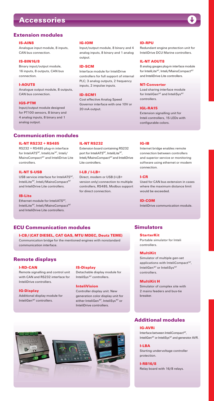### **Accessories**

#### Extension modules

#### S-AIN8

Analogue input module, 8 inputs, CAN bus connection.

#### IS-BIN16/8

Binary input/output module, 16 inputs, 8 outputs, CAN bus connection.

#### I-AOUT8

Analogue output module, 8 outputs, CAN bus connection.

#### IGS-PTM

Input/output module designed for PT100 sensors, 8 binary and 4 analog inputs, 8 binary and 1 analog output.

#### IG-IOM

Input/output module, 8 binary and 4 analog inputs, 8 binary and 1 analog output.

#### ID-SCM

Interface module for InteliDrive controllers for full support of internal PLC; 3 analog outputs, 2 frequency inputs, 2 impulse inputs.

#### ID-SCM1

Cost effective Analog Speed Governor interface with one 10V or 20 mA output.

#### ID-RPU

Redundant engine protection unit for InteliDrive DCU Marine controllers.

#### IL-NT AOUT8

8 analog gauges plug-in interface module for InteliLite<sup>NT</sup>, Inteli/MainsCompact<sup>NT</sup> and InteliDrive Lite controllers.

#### NT-Converter

Load sharing interface module for InteliGen<sup>NT</sup> and InteliSys<sup>NT</sup> controllers.

#### IGL-RA15

Extension signalling unit for Inteli controllers, 15 LEDs with configurable colors.

#### Communication modules

#### IL-NT RS232 + RS485

RS232 + RS485 plug-in interface for InteliATSNT, InteliLite NT, Inteli/ MainsCompact<sup>NT</sup> and InteliDrive Lite controllers.

#### IL-NT S-USB

USB service interface for InteliATS<sup>NT</sup>, InteliLite<sup>NT</sup>, Inteli/MainsCompact<sup>NT</sup> and InteliDrive Lite controllers.

#### IB-Lite

Ethernet module for InteliATS<sup>NT</sup>, InteliLite<sup>NT</sup>, Inteli/MainsCompact<sup>NT</sup> and InteliDrive Lite controllers.

#### IL-NT RS232

Extension board containing RS232 port for InteliATS<sup>NT</sup>, InteliLite<sup>NT</sup>, Inteli/MainsCompact<sup>NT</sup> and InteliDrive Lite controllers.

#### I-LB / I-LB+

Direct, modem or USB (I-LB+ version only) connection to multiple controllers, RS485, Modbus support for direct connection.

#### IG-IB

Internet bridge enables remote connection between controllers and superior service or monitoring software using ethernet or modem connection.

#### I-CR

Used for CAN bus extension in cases where the maximum distance limit would be exceeded.

#### ID-COM

**StarterKit** 

**Simulators** 

controllers.

Portable simulator for Inteli

InteliDrive communication module.

#### ECU Communication modules

I-CB / (CAT DIESEL, CAT GAS, MTU MDEC, Deutz TEME) Communication bridge for the mentioned engines with nonstandard communication interface.

#### Remote displays

#### I-RD-CAN

Remote signalling and control unit with CAN and RS232 interface for InteliDrive controllers.

#### IG-Display

Additional display module for InteliGen<sup>NT</sup> controllers.

#### IS-Display

Detachable display module for InteliSys<sup>NT</sup> controllers.

#### InteliVision

Controller display unit. New generation color display unit for either InteliGen<sup>NT</sup>, InteliSys<sup>NT</sup> or InteliDrive controllers.



#### Additional modules

#### IG-AVRi

Interface between InteliCompact<sup>NT</sup>, InteliGen<sup>NT</sup> or InteliSys<sup>NT</sup> and generator AVR.

I-LBA Starting undervoltage controller protection.

#### I-RB16/8

Relay board with 16/8 relays.

MultiKit Simulator of multiple gen-set applications with InteliCompact<sup>NT</sup>,

InteliGen<sup>NT</sup> or InteliSys<sup>NT</sup> controllers. MultiKit H

Simulator of complex site with 2 mains feeders and bus-tie breaker.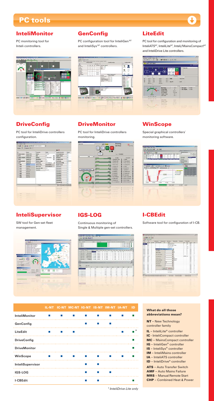#### InteliMonitor

PC monitoring tool for Inteli controllers.



## **DriveConfig**

PC tool for InteliDrive controllers configuration.



Ō.

**DriveMonitor** 

PC configuration tool for InteliGen<sup>NT</sup> and InteliSys<sup>NT</sup> controllers.

> E s E

**GenConfig** 

PC tool for InteliDrive controllers monitoring. 日日

#### LiteEdit

PC tool for configuration and monitoring of InteliATS<sup>NT</sup>, InteliLite<sup>NT</sup>, Inteli/MainsCompact<sup>NT</sup> and InteliDrive Lite controllers.



### **WinScope**

Special graphical controllers' monitoring software.



#### InteliSupervisor

SW tool for Gen-set fleet management.



## IGS-LOG

Continuous monitoring of Single & Multiple gen-set controllers.

|                                                                                                                                                                                                                                                            | 向日期 制用户             |                  |                     |             |                               |                                                     |               |                |        |                         |   |                                           |   |    |         |
|------------------------------------------------------------------------------------------------------------------------------------------------------------------------------------------------------------------------------------------------------------|---------------------|------------------|---------------------|-------------|-------------------------------|-----------------------------------------------------|---------------|----------------|--------|-------------------------|---|-------------------------------------------|---|----|---------|
|                                                                                                                                                                                                                                                            |                     |                  |                     |             |                               |                                                     |               |                |        |                         |   |                                           |   |    | 200x    |
| <b>Service</b>                                                                                                                                                                                                                                             |                     | <b>Hart</b>      | <b>Line: Inster</b> |             |                               | Vacin Generation   Generator Ind.   Detectoral<br>٠ |               |                |        |                         |   |                                           |   |    | Pageau  |
| <b>Kind</b>                                                                                                                                                                                                                                                |                     |                  | п                   |             |                               | ×<br>p                                              |               |                |        |                         |   | 0. 27.2.399 TURNS                         |   |    |         |
| an a<br>Black                                                                                                                                                                                                                                              |                     |                  | и                   |             |                               | w                                                   |               |                |        |                         |   | IT AT JUST 11 DESE<br>01 27 2 334 1110 10 |   |    |         |
|                                                                                                                                                                                                                                                            |                     |                  |                     |             |                               |                                                     |               |                |        |                         |   |                                           |   |    |         |
| ---                                                                                                                                                                                                                                                        |                     |                  |                     |             |                               |                                                     |               |                |        |                         |   |                                           |   |    | $-25.8$ |
| <b>Cardinal</b>                                                                                                                                                                                                                                            | <b>Females</b>      | <b>Tel</b>       | Tare.               | <b>Died</b> | <b>Part</b><br>$\overline{a}$ | 1/2                                                 | w             | -              |        |                         |   |                                           |   |    | ×<br>m  |
| 9 19 19 19                                                                                                                                                                                                                                                 | Two and other       | ---              | 11.07 00            |             | a.                            |                                                     | $\sim$        |                |        |                         |   |                                           |   |    |         |
| 4 296 1964                                                                                                                                                                                                                                                 | <b>Car not disc</b> | 27.2,399         | 11/03/17            |             | 5.61                          |                                                     | ı             | u              |        |                         |   |                                           |   |    |         |
| 4 444 444                                                                                                                                                                                                                                                  | <b>Factured at</b>  | of a look        | 11.03.06            |             | ï<br>to all                   |                                                     | ï             | $\overline{a}$ |        |                         |   |                                           |   | ı. |         |
| $-3.000 - 0.1$                                                                                                                                                                                                                                             | <b>Faccount of</b>  | 27.2.300m        | 11.00 %             |             | <b>BM</b>                     |                                                     | ï             | <b>WA</b>      |        |                         |   |                                           |   |    |         |
| $4.106 - 16.1$                                                                                                                                                                                                                                             | <b>Factured of</b>  | at a secu        | 11:00:00            |             | ı<br>14.44                    |                                                     | ٠             | u              |        | ٠                       |   |                                           | ÷ | ٠  |         |
|                                                                                                                                                                                                                                                            |                     |                  |                     |             |                               |                                                     |               |                | ٠      | ٠                       |   |                                           | è | ٠  | ٠       |
|                                                                                                                                                                                                                                                            | <b>SIX 78-a 746</b> | 27.2,329         | 10:58.90            | ٠           | <b>SIM</b><br>٠               |                                                     | $\mathbf{11}$ | $^{12}$        |        |                         |   |                                           |   |    |         |
|                                                                                                                                                                                                                                                            |                     |                  |                     |             |                               |                                                     |               |                |        |                         |   |                                           |   |    |         |
| --                                                                                                                                                                                                                                                         |                     |                  |                     |             |                               |                                                     |               |                |        |                         |   |                                           |   |    | 1011    |
|                                                                                                                                                                                                                                                            |                     |                  |                     |             |                               |                                                     |               |                |        |                         |   |                                           |   |    | £       |
|                                                                                                                                                                                                                                                            | 12061-004           |                  |                     |             |                               |                                                     |               |                |        |                         |   |                                           |   |    |         |
|                                                                                                                                                                                                                                                            | hui                 |                  | <b>LAL</b>          | ٠           |                               | <b>Allen</b>                                        | m             |                | w<br>٠ |                         | w |                                           | u |    |         |
|                                                                                                                                                                                                                                                            | ٠                   | <b>Tak</b>       |                     | ÷           | ٠                             | 18.0                                                |               | $\rightarrow$  |        | ٦                       |   |                                           | Ŧ |    |         |
|                                                                                                                                                                                                                                                            | ¥                   | $\overline{a}$   |                     |             | <b>ISS</b>                    | <b>HA</b>                                           |               | m              | ×.     | m                       |   | $\sim$                                    |   |    |         |
|                                                                                                                                                                                                                                                            | ×                   | <b>KIR</b><br>1m |                     |             | 194<br><b>THE</b>             | $^{12}$<br><b>BLB</b>                               |               | m              |        | <b>FRE</b><br><b>HO</b> |   | 100<br><b>CHE</b>                         |   |    |         |
|                                                                                                                                                                                                                                                            | x<br>n<br>٠         | <b>DOM</b>       |                     | ı           | 1978                          | $^{***}$                                            |               | w<br>m         |        | 225                     |   | $\sim$                                    |   |    |         |
|                                                                                                                                                                                                                                                            |                     | <b>Life</b>      |                     |             |                               | 18                                                  |               |                |        |                         |   |                                           |   |    |         |
|                                                                                                                                                                                                                                                            | ×                   |                  |                     |             | ×                             |                                                     |               | ÿ              |        | J                       |   | э                                         |   |    |         |
|                                                                                                                                                                                                                                                            | ٠<br>٠              | <br>             |                     |             | -<br>$\overline{\phantom{a}}$ | $\sim$<br>                                          |               | ٠              |        | ٠<br>٠                  |   | ۰<br>٠                                    |   |    |         |
|                                                                                                                                                                                                                                                            | ٠                   | $\sim$           |                     |             |                               |                                                     |               | ۰              |        | ٠                       |   | ٠                                         |   |    |         |
|                                                                                                                                                                                                                                                            | ٠                   | ×                |                     |             | m                             | ٠                                                   |               | ٠              |        | ٠                       |   | ٠                                         |   |    |         |
| 4.103.053<br>۰L<br><b>HAT</b><br>-<br>of Kay<br>272044211<br><b>JF 2 2004 8 26 16</b><br>37.2.3949 9:25 16<br>27.2 2006 0.30 FB<br>27 2 2004 S 23 15<br>27.2 Januar 10, 22 116<br>At 7 years of hours.<br><b>AT 5 Support Follows</b><br>to it bear a term |                     | t e              |                     |             |                               |                                                     |               |                |        |                         |   |                                           |   |    |         |

## I-CBEdit

Software tool for configuration of I-CB.

|                |                            | <b>CONTRACTOR CONTRACTOR</b> |                                                             |               |                                |                                                     |           |                    |               | $-328 +$      |
|----------------|----------------------------|------------------------------|-------------------------------------------------------------|---------------|--------------------------------|-----------------------------------------------------|-----------|--------------------|---------------|---------------|
|                |                            | THE ARTIST TRANS THREE THE   |                                                             |               |                                |                                                     |           |                    |               |               |
|                | DISCH w TIN                |                              |                                                             |               |                                |                                                     |           |                    |               |               |
|                | $+ -1$ $n$ (11 $-1$        |                              |                                                             |               |                                |                                                     |           |                    |               |               |
| Piker - IX at  |                            |                              |                                                             |               |                                | Indone: Christian Chienae: Chienae: Chesse, Chessen |           |                    |               |               |
|                | <b>Sand Ing 1 Threshor</b> | Per sales                    | <b>SUITA FAME STAR</b>                                      | <b>Color</b>  | <b>Now</b>                     |                                                     | $\sim$    | $\sim$             | <b>Taken</b>  | $\sim$        |
| ÷              | <b>Rando</b>               | ٠                            | ٠                                                           |               | <b>Digital Security Editor</b> |                                                     | ٠         | $\equiv$           | <b>CALLS</b>  | ٠             |
| <b>Araba</b>   | <b>State</b>               | ٠                            | ٠                                                           |               | Windows hapk militar           |                                                     | ٠         | v                  | 1984          | ٠             |
| <b>Analog</b>  | <b>base</b>                |                              |                                                             |               | <b>PARK IS BOA</b>             |                                                     | ٠         | $-$                | 1969          | ×             |
| <b>Andre</b>   | <b>Take</b>                |                              |                                                             |               | <b><i><u>Archang</u></i></b>   |                                                     | ٠         | <b>Hill</b>        | <b>Inch</b>   | ٠             |
| <b>STATE</b>   | <b>basi</b>                |                              | <b>The and collection</b>                                   |               | <b>SPE</b>                     |                                                     | r         | $\sim$             | <b>COM</b>    | ٠             |
| <b>Andra</b>   | <b>Tard</b>                |                              | <b>COMMERCE</b>                                             | r             | ¥                              |                                                     |           | u                  | <b>Card</b>   | ç             |
| <b>Andrew</b>  | <b>base</b>                |                              | <b>MISTARIN</b>                                             | m             | x                              | ۰                                                   | ï         | ×                  | ins.          | s             |
| <b>Andrew</b>  | <b>Sant</b>                |                              |                                                             |               |                                |                                                     | ×         | ×                  | <b>ISRAEL</b> | ×             |
| <b>SHAW</b>    | <b>Touch</b>               |                              | <b>For state attent</b>                                     | н             | Ÿ                              |                                                     | ٠         | ۰                  | $-$           | ٠             |
| Andre          | <b>Thing</b>               |                              | <b>End agents store</b>                                     | $\frac{1}{2}$ | ¥                              |                                                     | deres car |                    | <b>Silver</b> | ٠             |
| <b>Blue</b>    | <b>Park</b>                |                              | <b><i><u><u>Road Moore</u></u></i></b>                      |               |                                |                                                     |           |                    | <b>LIGHT</b>  | ¥             |
| men.           | <b>Said</b>                |                              |                                                             |               | z                              | <b>Business</b>                                     |           |                    | m             | ×<br>z.       |
| <b>Braz</b>    | <b>base</b>                |                              | <b>Nancisco del altre</b>                                   |               | ¥                              | <b>Links</b>                                        |           |                    | $\rightarrow$ | $\rightarrow$ |
| <b>Mark</b>    | high                       |                              | <b>Falcomisional</b>                                        | <b>Corp.</b>  | ä                              |                                                     |           |                    | <b>HER</b>    | ä             |
| <b>House</b>   | <b>Seco</b>                |                              |                                                             |               |                                |                                                     |           |                    | <b>CALL</b>   | ٠             |
| <b>Brand</b>   | <b>Sept</b>                |                              | Fall contribute                                             | ìя            | ÿ                              |                                                     |           |                    | m             | ç<br>÷        |
| <b>Model</b>   | <b>Seco</b>                | ×                            | Life automation                                             | 'n            | v                              |                                                     |           |                    | <b>Little</b> | ×             |
| <b>Marine</b>  | <b>Tard</b>                | x                            |                                                             |               |                                |                                                     |           |                    | 14H           | x             |
| <b>Norwald</b> | <b>Texas</b>               | ï                            |                                                             | $20 - 3$      | $X$ (and                       |                                                     |           |                    | $\sim$        | ٠             |
| <b>Brand</b>   | <b>Sed</b>                 | ٠                            |                                                             |               |                                |                                                     |           |                    | 1486          | s             |
| <b>Market</b>  | <b>Saudi</b>               | ٠                            | ı                                                           |               | <b>HESAND</b>                  |                                                     |           |                    | <b>CARD</b>   | ×             |
| <b>Margare</b> | <b>Total</b>               |                              | ٠                                                           |               | <b>With a decise</b>           |                                                     |           |                    | <b>SMR</b>    | $\sim$        |
| sii            |                            |                              |                                                             |               |                                |                                                     |           |                    |               |               |
|                |                            |                              | PA. 1 Minutes Pauli production and the AS polyation and LLA |               | <b>Mid-commercial</b>          | <b>Business Amultipud</b>                           |           | <b>Sedan Mouse</b> |               |               |
| --             |                            |                              |                                                             |               | ----                           | ----                                                |           | $\sim$             |               |               |
| VI 1           |                            |                              |                                                             |               |                                |                                                     |           |                    |               |               |
| $100 - 100$    | -                          | ۰                            |                                                             |               | <b>Secretary</b>               |                                                     |           |                    | $\sim$        | ٠             |
| -              | -                          | ٠                            | ٠                                                           |               | <b>SERVICE</b>                 |                                                     |           |                    | -             | ٠             |
| ۰              |                            |                              |                                                             |               |                                |                                                     |           |                    | $\sim$        |               |
| -              | -                          | ł.                           |                                                             |               | <b>San Francis</b>             |                                                     |           |                    | -             |               |
| -              | -                          |                              |                                                             |               |                                |                                                     |           |                    | -             |               |
| ٠              | ٠                          |                              |                                                             |               |                                |                                                     |           |                    | ٠             |               |
|                | a sa                       |                              |                                                             |               |                                |                                                     |           |                    |               |               |
|                |                            |                              |                                                             |               |                                |                                                     |           |                    |               |               |
|                |                            |                              |                                                             |               |                                |                                                     |           |                    |               |               |

|                      |                                                                                                                                                                                                                                      |    | IL-NT IC-NT MC-NT IG-NT IS-NT IM-NT IA-NT |    |            |  | <b>ID</b> |
|----------------------|--------------------------------------------------------------------------------------------------------------------------------------------------------------------------------------------------------------------------------------|----|-------------------------------------------|----|------------|--|-----------|
| <b>InteliMonitor</b> | <b>COL</b>                                                                                                                                                                                                                           |    |                                           |    |            |  |           |
| GenConfig            |                                                                                                                                                                                                                                      |    |                                           | m. | m.         |  |           |
| LiteEdit             | ш                                                                                                                                                                                                                                    |    |                                           |    |            |  |           |
| <b>DriveConfig</b>   |                                                                                                                                                                                                                                      |    |                                           |    |            |  | т         |
| <b>DriveMonitor</b>  |                                                                                                                                                                                                                                      |    |                                           |    |            |  | m.        |
| WinScope             | <b>The Contract of the Contract of the Contract of the Contract of the Contract of the Contract of the Contract of the Contract of the Contract of the Contract of the Contract of The Contract of The Contract of The Contract </b> | a. | <b>College</b>                            | m. | m.         |  | m.        |
| InteliSupervisor     |                                                                                                                                                                                                                                      |    |                                           | m. | <b>COL</b> |  |           |
| IGS-LOG              |                                                                                                                                                                                                                                      |    |                                           |    | ٠          |  |           |
| I-CBEdit             |                                                                                                                                                                                                                                      |    |                                           |    |            |  |           |

#### What do all those abbreviations mean?

| NT - New Technology                 |
|-------------------------------------|
| controller family                   |
| <b>IL</b> - InteliLite® controller  |
| IC - InteliCompact controller       |
| MC - MainsCompact controller        |
| <b>IG</b> - InteliGen® controller   |
| <b>IS</b> - InteliSys® controller   |
| <b>IM</b> - InteliMains controller  |
| <b>IA</b> - InteliATS controller    |
| <b>ID</b> - InteliDrive® controller |
| <b>ATS</b> - Auto Transfer Switch   |
| <b>AMF</b> - Auto Mains Failure     |
| <b>MRS</b> - Manual Remote Start    |
| <b>CHP</b> - Combined Heat & Power  |

*\* InteliDrive Lite only*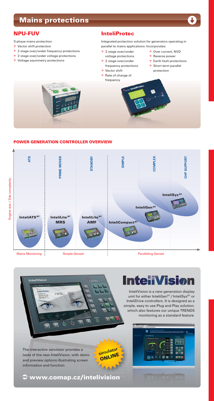# Mains protections



3-phase mains protection:

- $\triangleright$  Vector shift protection ▶ 2 stage over/under frequency protections
- ▶ 2 stage over/under voltage protections
- $\triangleright$  Voltage asymmetry protections

Integrated protection solution for generators operating in parallel to mains applications. Incorporates:

- ▶ 2 stage over/under voltage protections
- 2 stage over/under
- frequency protections
- **D** Vector shift
- Rate of change of frequency
- ▶ Over current, NVD
- $\triangleright$  Reverse power
- $\triangleright$  Earth fault protections
- $\triangleright$  Short term parallel protection



#### POWER GENERATION CONTROLLER OVERVIEW





The interactive simulator provides a taste of the new InteliVision, with demo and preview options illustrating screen information and function.

**simulator** ONLINE

Â www.comap.cz/intelivision

# **InteliVision**

InteliVision is a new generation display unit for either InteliGen<sup>NT</sup>/InteliSys<sup>NT</sup> or InteliDrive controllers. It is designed as a simple, easy to use Plug and Play solution, which also features our unique TRENDS monitoring as a standard feature.